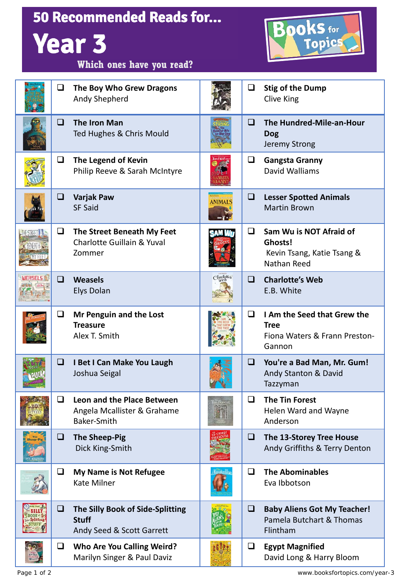| <b>50 Recommended Reads for</b><br><b>OOKS</b> for<br><b>Year 3</b><br>Topics |        |                                                                                 |                |        |                                                                                        |  |  |  |  |
|-------------------------------------------------------------------------------|--------|---------------------------------------------------------------------------------|----------------|--------|----------------------------------------------------------------------------------------|--|--|--|--|
|                                                                               |        | Which ones have you read?                                                       |                |        |                                                                                        |  |  |  |  |
|                                                                               | $\Box$ | The Boy Who Grew Dragons<br>Andy Shepherd                                       |                | $\Box$ | <b>Stig of the Dump</b><br><b>Clive King</b>                                           |  |  |  |  |
|                                                                               | □      | <b>The Iron Man</b><br>Ted Hughes & Chris Mould                                 |                | □      | The Hundred-Mile-an-Hour<br><b>Dog</b><br>Jeremy Strong                                |  |  |  |  |
|                                                                               | $\Box$ | The Legend of Kevin<br>Philip Reeve & Sarah McIntyre                            |                | ❏      | <b>Gangsta Granny</b><br>David Walliams                                                |  |  |  |  |
|                                                                               | ❏      | <b>Varjak Paw</b><br><b>SF Said</b>                                             | <b>ANIMALS</b> | □      | <b>Lesser Spotted Animals</b><br><b>Martin Brown</b>                                   |  |  |  |  |
|                                                                               | ❏      | The Street Beneath My Feet<br><b>Charlotte Guillain &amp; Yuval</b><br>Zommer   |                | ◻      | Sam Wu is NOT Afraid of<br>Ghosts!<br>Kevin Tsang, Katie Tsang &<br><b>Nathan Reed</b> |  |  |  |  |
|                                                                               | ❏      | <b>Weasels</b><br><b>Elys Dolan</b>                                             | Charlotte      | $\Box$ | <b>Charlotte's Web</b><br>E.B. White                                                   |  |  |  |  |
|                                                                               | ❏      | Mr Penguin and the Lost<br><b>Treasure</b><br>Alex T. Smith                     |                | ◻      | I Am the Seed that Grew the<br><b>Tree</b><br>Fiona Waters & Frann Preston-<br>Gannon  |  |  |  |  |
|                                                                               | ❏      | I Bet I Can Make You Laugh<br>Joshua Seigal                                     |                | $\Box$ | You're a Bad Man, Mr. Gum!<br>Andy Stanton & David<br>Tazzyman                         |  |  |  |  |
|                                                                               | ப      | Leon and the Place Between<br>Angela Mcallister & Grahame<br><b>Baker-Smith</b> |                | ❏      | <b>The Tin Forest</b><br>Helen Ward and Wayne<br>Anderson                              |  |  |  |  |
|                                                                               | ❏      | <b>The Sheep-Pig</b><br>Dick King-Smith                                         |                | ❏      | The 13-Storey Tree House<br>Andy Griffiths & Terry Denton                              |  |  |  |  |
|                                                                               | ❏      | <b>My Name is Not Refugee</b><br><b>Kate Milner</b>                             |                | ◻      | <b>The Abominables</b><br>Eva Ibbotson                                                 |  |  |  |  |
|                                                                               | ❏      | The Silly Book of Side-Splitting<br><b>Stuff</b><br>Andy Seed & Scott Garrett   |                | O      | <b>Baby Aliens Got My Teacher!</b><br>Pamela Butchart & Thomas<br>Flintham             |  |  |  |  |
|                                                                               | $\Box$ | <b>Who Are You Calling Weird?</b><br>Marilyn Singer & Paul Daviz                |                | ❏      | <b>Egypt Magnified</b><br>David Long & Harry Bloom                                     |  |  |  |  |

**Regination**